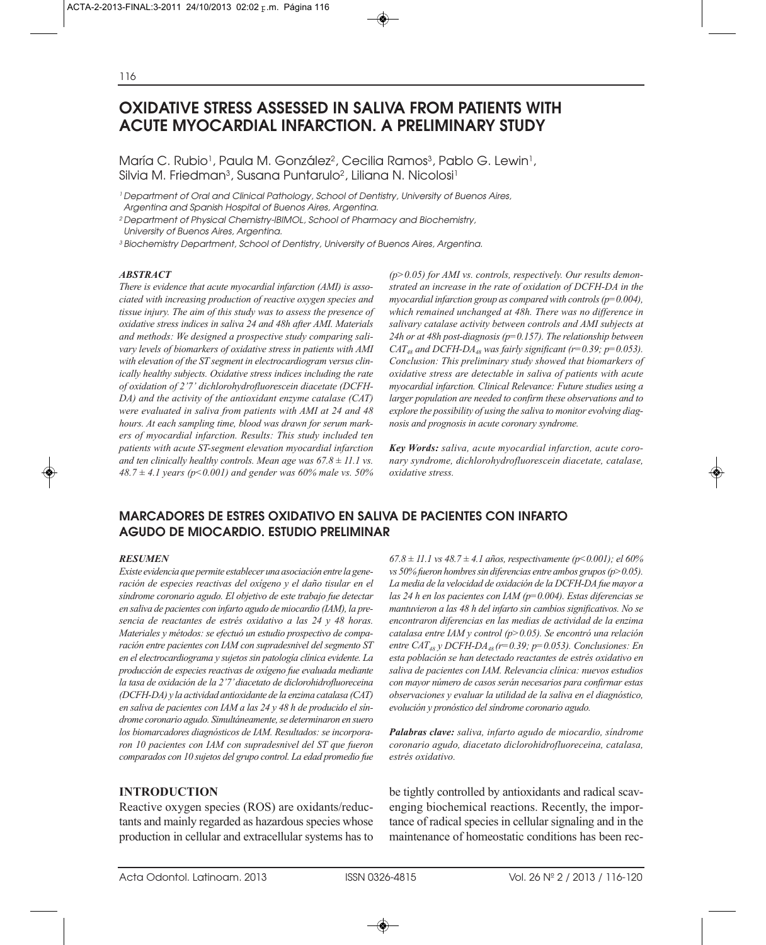# **OXIDATIVE STRESS ASSESSED IN SALIVA FROM PATIENTS WITH ACUTE MYOCARDIAL INFARCTION. A PRELIMINARY STUDY**

María C. Rubio<sup>1</sup>, Paula M. González<sup>2</sup>, Cecilia Ramos<sup>3</sup>, Pablo G. Lewin<sup>1</sup>, Silvia M. Friedman<sup>3</sup>, Susana Puntarulo<sup>2</sup>, Liliana N. Nicolosi<sup>1</sup>

<sup>1</sup> Department of Oral and Clinical Pathology, School of Dentistry, University of Buenos Aires, Argentina and Spanish Hospital of Buenos Aires, Argentina.

2 Department of Physical Chemistry-IBIMOL, School of Pharmacy and Biochemistry, University of Buenos Aires, Argentina.

3 Biochemistry Department, School of Dentistry, University of Buenos Aires, Argentina.

#### *ABSTRACT*

*There is evidence that acute myocardial infarction (AMI) is associated with increasing production of reactive oxygen species and tissue injury. The aim of this study was to assess the presence of oxidative stress indices in saliva 24 and 48h after AMI. Materials and methods: We designed a prospective study comparing salivary levels of biomarkers of oxidative stress in patients with AMI with elevation of the ST segment in electrocardiogram versus clinically healthy subjects. Oxidative stress indices including the rate of oxidation of 2'7' dichlorohydrofluorescein diacetate (DCFH-DA) and the activity of the antioxidant enzyme catalase (CAT) were evaluated in saliva from patients with AMI at 24 and 48 hours. At each sampling time, blood was drawn for serum markers of myocardial infarction. Results: This study included ten patients with acute ST-segment elevation myocardial infarction and ten clinically healthy controls. Mean age was 67.8 ± 11.1 vs. 48.7 ± 4.1 years (p<0.001) and gender was 60% male vs. 50%*

*(p>0.05) for AMI vs. controls, respectively. Our results demonstrated an increase in the rate of oxidation of DCFH-DA in the myocardial infarction group as compared with controls (p=0.004), which remained unchanged at 48h. There was no difference in salivary catalase activity between controls and AMI subjects at 24h or at 48h post-diagnosis (p=0.157). The relationship between CAT<sub>48</sub>* and *DCFH-DA<sub>48</sub> was fairly significant (r=0.39; p=0.053). Conclusion: This preliminary study showed that biomarkers of oxidative stress are detectable in saliva of patients with acute myocardial infarction. Clinical Relevance: Future studies using a larger population are needed to confirm these observations and to explore the possibility of using the saliva to monitor evolving diagnosis and prognosis in acute coronary syndrome.*

*Key Words: saliva, acute myocardial infarction, acute coronary syndrome, dichlorohydrofluorescein diacetate, catalase, oxidative stress.*

# **MARCADORES DE ESTRES OXIDATIVO EN SALIVA DE PACIENTES CON INFARTO AGUDO DE MIOCARDIO. ESTUDIO PRELIMINAR**

#### *RESUMEN*

*Existe evidencia que permite establecer una asociación entre la generación de especies reactivas del oxígeno y el daño tisular en el síndrome coronario agudo. El objetivo de este trabajo fue detectar en saliva de pacientes con infarto agudo de miocardio (IAM), la presencia de reactantes de estrés oxidativo a las 24 y 48 horas. Materiales y métodos: se efectuó un estudio prospectivo de comparación entre pacientes con IAM con supradesnivel del segmento ST en el electrocardiograma y sujetos sin patología clínica evidente. La producción de especies reactivas de oxígeno fue evaluada mediante la tasa de oxidación de la 2'7' diacetato de diclorohidrofluoreceina (DCFH-DA) y la actividad antioxidante de la enzima catalasa (CAT) en saliva de pacientes con IAM a las 24 y 48 h de producido el síndrome coronario agudo. Simultáneamente, se determinaron en suero los biomarcadores diagnósticos de IAM. Resultados: se incorporaron 10 pacientes con IAM con supradesnivel del ST que fueron comparados con 10 sujetos del grupo control. La edad promedio fue*

## **INTRODUCTION**

Reactive oxygen species (ROS) are oxidants/reductants and mainly regarded as hazardous species whose production in cellular and extracellular systems has to *67.8 ± 11.1 vs 48.7 ± 4.1 años, respectivamente (p<0.001); el 60% vs 50% fueron hombres sin diferencias entre ambos grupos (p>0.05). La media de la velocidad de oxidación de la DCFH-DA fue mayor a las 24 h en los pacientes con IAM (p=0.004). Estas diferencias se mantuvieron a las 48 h del infarto sin cambios significativos. No se encontraron diferencias en las medias de actividad de la enzima catalasa entre IAM y control (p>0.05). Se encontró una relación entre CAT48 y DCFH-DA48 (r=0.39; p=0.053). Conclusiones: En esta población se han detectado reactantes de estrés oxidativo en saliva de pacientes con IAM. Relevancia clínica: nuevos estudios con mayor número de casos serán necesarios para confirmar estas observaciones y evaluar la utilidad de la saliva en el diagnóstico, evolución y pronóstico del síndrome coronario agudo.*

*Palabras clave: saliva, infarto agudo de miocardio, síndrome coronario agudo, diacetato diclorohidrofluoreceina, catalasa, estrés oxidativo.*

be tightly controlled by antioxidants and radical scavenging biochemical reactions. Recently, the importance of radical species in cellular signaling and in the maintenance of homeostatic conditions has been rec-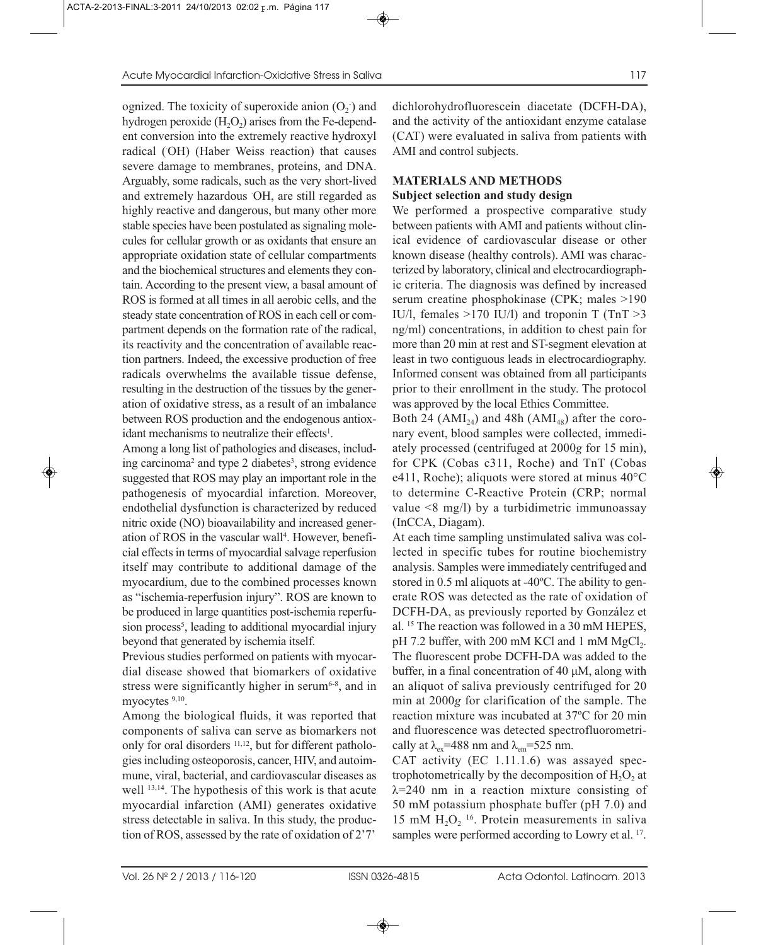ognized. The toxicity of superoxide anion  $(O_2)$  and hydrogen peroxide  $(H<sub>2</sub>O<sub>2</sub>)$  arises from the Fe-dependent conversion into the extremely reactive hydroxyl radical (OH) (Haber Weiss reaction) that causes severe damage to membranes, proteins, and DNA. Arguably, some radicals, such as the very short-lived and extremely hazardous OH, are still regarded as highly reactive and dangerous, but many other more stable species have been postulated as signaling molecules for cellular growth or as oxidants that ensure an appropriate oxidation state of cellular compartments and the biochemical structures and elements they contain. According to the present view, a basal amount of ROS is formed at all times in all aerobic cells, and the steady state concentration of ROS in each cell or compartment depends on the formation rate of the radical, its reactivity and the concentration of available reaction partners. Indeed, the excessive production of free radicals overwhelms the available tissue defense, resulting in the destruction of the tissues by the generation of oxidative stress, as a result of an imbalance between ROS production and the endogenous antioxidant mechanisms to neutralize their effects<sup>1</sup>.

Among a long list of pathologies and diseases, including carcinoma<sup>2</sup> and type 2 diabetes<sup>3</sup>, strong evidence suggested that ROS may play an important role in the pathogenesis of myocardial infarction. Moreover, endothelial dysfunction is characterized by reduced nitric oxide (NO) bioavailability and increased generation of ROS in the vascular wall<sup>4</sup>. However, beneficial effects in terms of myocardial salvage reperfusion itself may contribute to additional damage of the myocardium, due to the combined processes known as "ischemia-reperfusion injury". ROS are known to be produced in large quantities post-ischemia reperfusion process<sup>5</sup>, leading to additional myocardial injury beyond that generated by ischemia itself.

Previous studies performed on patients with myocardial disease showed that biomarkers of oxidative stress were significantly higher in serum $6-8$ , and in myocytes  $9,10$ .

Among the biological fluids, it was reported that components of saliva can serve as biomarkers not only for oral disorders 11,12, but for different pathologies including osteoporosis, cancer, HIV, and autoimmune, viral, bacterial, and cardiovascular diseases as well 13,14. The hypothesis of this work is that acute myocardial infarction (AMI) generates oxidative stress detectable in saliva. In this study, the production of ROS, assessed by the rate of oxidation of 2'7'

dichlorohydrofluorescein diacetate (DCFH-DA), and the activity of the antioxidant enzyme catalase (CAT) were evaluated in saliva from patients with AMI and control subjects.

## **MATERIALS AND METHODS**

# **Subject selection and study design**

We performed a prospective comparative study between patients with AMI and patients without clinical evidence of cardiovascular disease or other known disease (healthy controls). AMI was characterized by laboratory, clinical and electrocardiographic criteria. The diagnosis was defined by increased serum creatine phosphokinase (CPK; males >190 IU/l, females >170 IU/l) and troponin T (TnT >3 ng/ml) concentrations, in addition to chest pain for more than 20 min at rest and ST-segment elevation at least in two contiguous leads in electrocardiography. Informed consent was obtained from all participants prior to their enrollment in the study. The protocol was approved by the local Ethics Committee.

Both 24 ( $AMI_{24}$ ) and 48h ( $AMI_{48}$ ) after the coronary event, blood samples were collected, immediately processed (centrifuged at 2000*g* for 15 min), for CPK (Cobas c311, Roche) and TnT (Cobas e411, Roche); aliquots were stored at minus 40°C to determine C-Reactive Protein (CRP; normal value <8 mg/l) by a turbidimetric immunoassay (InCCA, Diagam).

At each time sampling unstimulated saliva was collected in specific tubes for routine biochemistry analysis. Samples were immediately centrifuged and stored in 0.5 ml aliquots at -40ºC. The ability to generate ROS was detected as the rate of oxidation of DCFH-DA, as previously reported by González et al. 15 The reaction was followed in a 30 mM HEPES, pH 7.2 buffer, with 200 mM KCl and 1 mM  $MgCl<sub>2</sub>$ . The fluorescent probe DCFH-DA was added to the buffer, in a final concentration of 40 μM, along with an aliquot of saliva previously centrifuged for 20 min at 2000*g* for clarification of the sample. The reaction mixture was incubated at 37ºC for 20 min and fluorescence was detected spectrofluorometrically at  $\lambda_{ex}$ =488 nm and  $\lambda_{em}$ =525 nm.

CAT activity (EC 1.11.1.6) was assayed spectrophotometrically by the decomposition of  $H_2O_2$  at  $\lambda$ =240 nm in a reaction mixture consisting of 50 mM potassium phosphate buffer (pH 7.0) and 15 mM  $H_2O<sub>2</sub>$  <sup>16</sup>. Protein measurements in saliva samples were performed according to Lowry et al. <sup>17</sup>.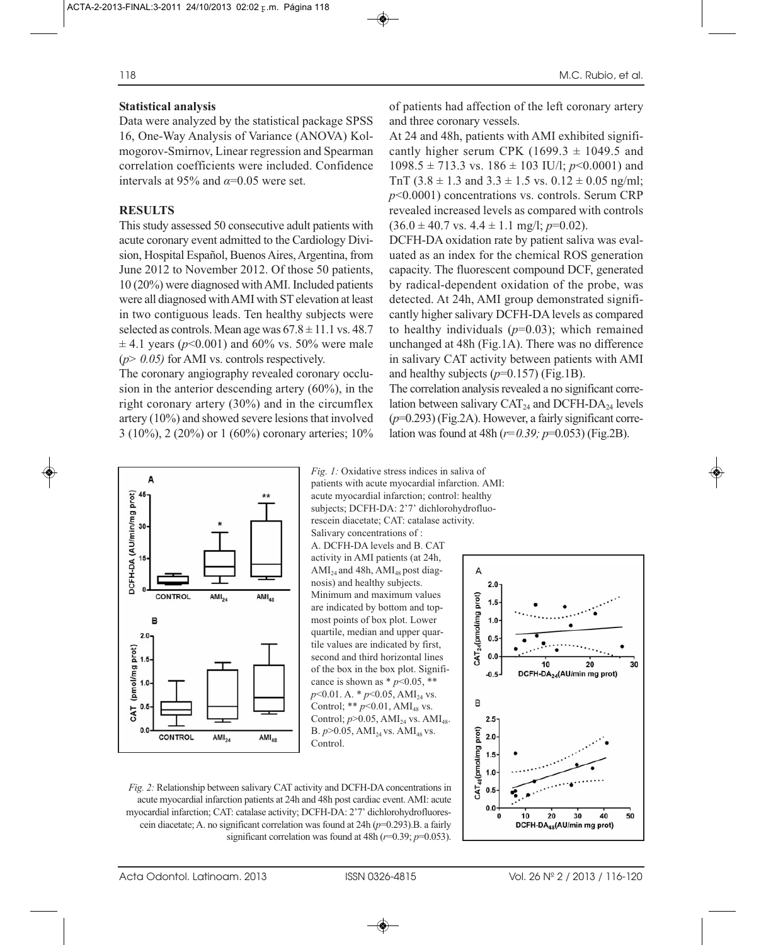## **Statistical analysis**

Data were analyzed by the statistical package SPSS 16, One-Way Analysis of Variance (ANOVA) Kolmogorov-Smirnov, Linear regression and Spearman correlation coefficients were included. Confidence intervals at 95% and  $\alpha$ =0.05 were set.

## **RESULTS**

This study assessed 50 consecutive adult patients with acute coronary event admitted to the Cardiology Division, Hospital Español, Buenos Aires, Argentina, from June 2012 to November 2012. Of those 50 patients, 10 (20%) were diagnosed with AMI. Included patients were all diagnosed with AMI with ST elevation at least in two contiguous leads. Ten healthy subjects were selected as controls. Mean age was  $67.8 \pm 11.1$  vs. 48.7  $\pm$  4.1 years ( $p$ <0.001) and 60% vs. 50% were male (*p> 0.05)* for AMI vs. controls respectively.

The coronary angiography revealed coronary occlusion in the anterior descending artery (60%), in the right coronary artery (30%) and in the circumflex artery (10%) and showed severe lesions that involved 3 (10%), 2 (20%) or 1 (60%) coronary arteries; 10%

of patients had affection of the left coronary artery and three coronary vessels.

At 24 and 48h, patients with AMI exhibited significantly higher serum CPK (1699.3  $\pm$  1049.5 and  $1098.5 \pm 713.3$  vs.  $186 \pm 103$  IU/l;  $p<0.0001$ ) and TnT (3.8  $\pm$  1.3 and 3.3  $\pm$  1.5 vs. 0.12  $\pm$  0.05 ng/ml; *p*<0.0001) concentrations vs. controls. Serum CRP revealed increased levels as compared with controls  $(36.0 \pm 40.7 \text{ vs. } 4.4 \pm 1.1 \text{ mg/l}; p=0.02).$ 

DCFH-DA oxidation rate by patient saliva was evaluated as an index for the chemical ROS generation capacity. The fluorescent compound DCF, generated by radical-dependent oxidation of the probe, was detected. At 24h, AMI group demonstrated significantly higher salivary DCFH-DA levels as compared to healthy individuals  $(p=0.03)$ ; which remained unchanged at 48h (Fig.1A). There was no difference in salivary CAT activity between patients with AMI and healthy subjects  $(p=0.157)$  (Fig.1B).

The correlation analysis revealed a no significant correlation between salivary  $CAT_{24}$  and DCFH-DA<sub>24</sub> levels (*p*=0.293) (Fig.2A). However, a fairly significant correlation was found at 48h (*r=0.39; p*=0.053) (Fig.2B).



acute myocardial infarction; control: healthy subjects; DCFH-DA: 2'7' dichlorohydrofluorescein diacetate; CAT: catalase activity. Salivary concentrations of : A. DCFH-DA levels and B. CAT activity in AMI patients (at 24h,  $AMI<sub>24</sub>$  and 48h,  $AMI<sub>48</sub>$  post diagnosis) and healthy subjects. Minimum and maximum values are indicated by bottom and topmost points of box plot. Lower quartile, median and upper quartile values are indicated by first, second and third horizontal lines of the box in the box plot. Significance is shown as  $*$  *p*<0.05,  $**$ *p*<0.01. A. \* *p*<0.05, AMI<sub>24</sub> vs. Control;  $*$   $p$  < 0.01, AMI<sub>48</sub> vs. Control;  $p > 0.05$ , AMI<sub>24</sub> vs. AMI<sub>48</sub>. B.  $p > 0.05$ , AMI<sub>24</sub> vs. AMI<sub>48</sub> vs. Control.

*Fig. 1:* Oxidative stress indices in saliva of patients with acute myocardial infarction. AMI:



*Fig. 2:* Relationship between salivary CAT activity and DCFH-DA concentrations in acute myocardial infarction patients at 24h and 48h post cardiac event. AMI: acute myocardial infarction; CAT: catalase activity; DCFH-DA: 2'7' dichlorohydrofluorescein diacetate; A. no significant correlation was found at 24h (*p*=0.293).B. a fairly significant correlation was found at 48h (*r*=0.39; *p*=0.053).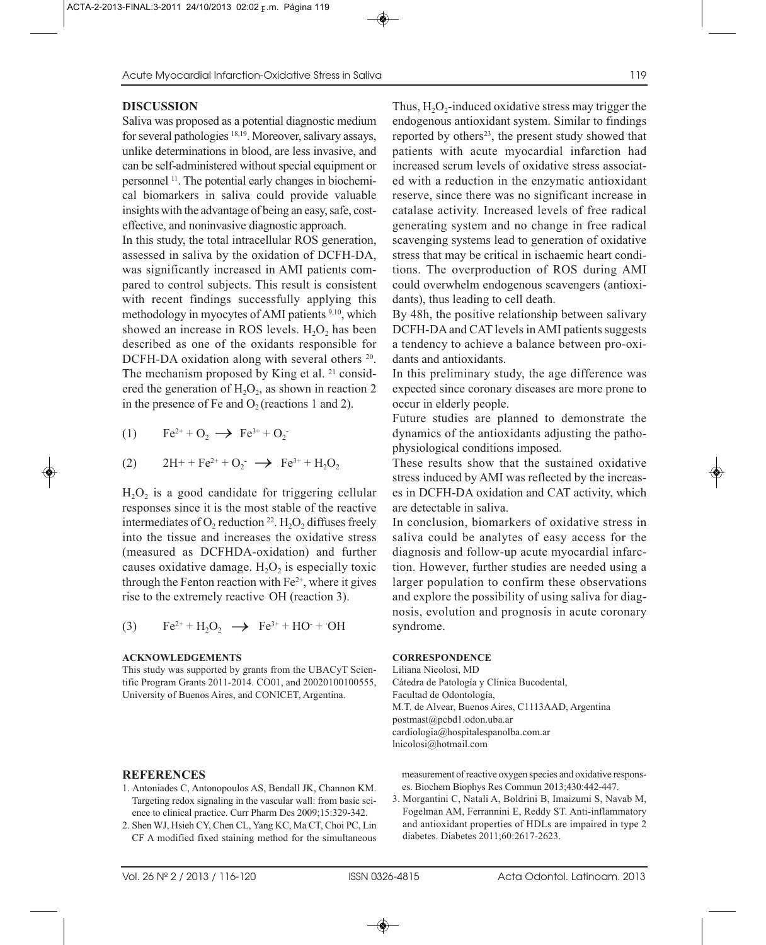## **DISCUSSION**

Saliva was proposed as a potential diagnostic medium for several pathologies 18,19. Moreover, salivary assays, unlike determinations in blood, are less invasive, and can be self-administered without special equipment or personnel 11. The potential early changes in biochemical biomarkers in saliva could provide valuable insights with the advantage of being an easy, safe, costeffective, and noninvasive diagnostic approach.

In this study, the total intracellular ROS generation, assessed in saliva by the oxidation of DCFH-DA, was significantly increased in AMI patients compared to control subjects. This result is consistent with recent findings successfully applying this methodology in myocytes of AMI patients 9,10, which showed an increase in ROS levels.  $H_2O_2$  has been described as one of the oxidants responsible for DCFH-DA oxidation along with several others <sup>20</sup>. The mechanism proposed by King et al. <sup>21</sup> considered the generation of  $H_2O_2$ , as shown in reaction 2 in the presence of Fe and  $O_2$  (reactions 1 and 2).

$$
(1) \qquad Fe^{2+} + O_2 \longrightarrow Fe^{3+} + O_2^-
$$

(2) 
$$
2H^+ + Fe^{2+} + O_2^- \rightarrow Fe^{3+} + H_2O_2
$$

 $H_2O_2$  is a good candidate for triggering cellular responses since it is the most stable of the reactive intermediates of  $O_2$  reduction <sup>22</sup>.  $H_2O_2$  diffuses freely into the tissue and increases the oxidative stress (measured as DCFHDA-oxidation) and further causes oxidative damage.  $H_2O_2$  is especially toxic through the Fenton reaction with  $Fe<sup>2+</sup>$ , where it gives rise to the extremely reactive OH (reaction 3).

(3) 
$$
Fe^{2+} + H_2O_2 \rightarrow Fe^{3+} + HO^+ \cdot OH
$$

### **ACKNOWLEDGEMENTS**

This study was supported by grants from the UBACyT Scientific Program Grants 2011-2014. CO01, and 20020100100555, University of Buenos Aires, and CONICET, Argentina.

### **REFERENCES**

- 1. Antoniades C, Antonopoulos AS, Bendall JK, Channon KM. Targeting redox signaling in the vascular wall: from basic science to clinical practice. Curr Pharm Des 2009;15:329-342.
- 2. Shen WJ, Hsieh CY, Chen CL, Yang KC, Ma CT, Choi PC, Lin CF A modified fixed staining method for the simultaneous

Thus,  $H_2O_2$ -induced oxidative stress may trigger the endogenous antioxidant system. Similar to findings reported by others<sup>23</sup>, the present study showed that patients with acute myocardial infarction had increased serum levels of oxidative stress associated with a reduction in the enzymatic antioxidant reserve, since there was no significant increase in catalase activity. Increased levels of free radical generating system and no change in free radical scavenging systems lead to generation of oxidative stress that may be critical in ischaemic heart conditions. The overproduction of ROS during AMI could overwhelm endogenous scavengers (antioxidants), thus leading to cell death.

By 48h, the positive relationship between salivary DCFH-DA and CAT levels in AMI patients suggests a tendency to achieve a balance between pro-oxidants and antioxidants.

In this preliminary study, the age difference was expected since coronary diseases are more prone to occur in elderly people.

Future studies are planned to demonstrate the dynamics of the antioxidants adjusting the pathophysiological conditions imposed.

These results show that the sustained oxidative stress induced by AMI was reflected by the increases in DCFH-DA oxidation and CAT activity, which are detectable in saliva.

In conclusion, biomarkers of oxidative stress in saliva could be analytes of easy access for the diagnosis and follow-up acute myocardial infarction. However, further studies are needed using a larger population to confirm these observations and explore the possibility of using saliva for diagnosis, evolution and prognosis in acute coronary syndrome.

#### **CORRESPONDENCE**

Liliana Nicolosi, MD Cátedra de Patología y Clínica Bucodental, Facultad de Odontología, M.T. de Alvear, Buenos Aires, C1113AAD, Argentina postmast@pcbd1.odon.uba.ar cardiologia@hospitalespanolba.com.ar lnicolosi@hotmail.com

measurement of reactive oxygen species and oxidative responses. Biochem Biophys Res Commun 2013;430:442-447.

3. Morgantini C, Natali A, Boldrini B, Imaizumi S, Navab M, Fogelman AM, Ferrannini E, Reddy ST. Anti-inflammatory and antioxidant properties of HDLs are impaired in type 2 diabetes. Diabetes 2011;60:2617-2623.